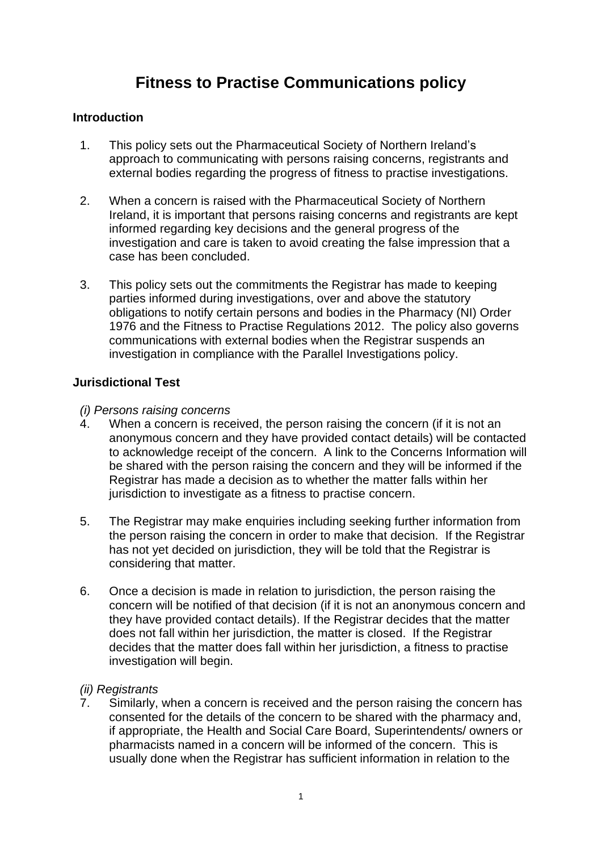# **Fitness to Practise Communications policy**

# **Introduction**

- 1. This policy sets out the Pharmaceutical Society of Northern Ireland's approach to communicating with persons raising concerns, registrants and external bodies regarding the progress of fitness to practise investigations.
- 2. When a concern is raised with the Pharmaceutical Society of Northern Ireland, it is important that persons raising concerns and registrants are kept informed regarding key decisions and the general progress of the investigation and care is taken to avoid creating the false impression that a case has been concluded.
- 3. This policy sets out the commitments the Registrar has made to keeping parties informed during investigations, over and above the statutory obligations to notify certain persons and bodies in the Pharmacy (NI) Order 1976 and the Fitness to Practise Regulations 2012. The policy also governs communications with external bodies when the Registrar suspends an investigation in compliance with the Parallel Investigations policy.

# **Jurisdictional Test**

# *(i) Persons raising concerns*

- 4. When a concern is received, the person raising the concern (if it is not an anonymous concern and they have provided contact details) will be contacted to acknowledge receipt of the concern. A link to the Concerns Information will be shared with the person raising the concern and they will be informed if the Registrar has made a decision as to whether the matter falls within her jurisdiction to investigate as a fitness to practise concern.
- 5. The Registrar may make enquiries including seeking further information from the person raising the concern in order to make that decision. If the Registrar has not yet decided on jurisdiction, they will be told that the Registrar is considering that matter.
- 6. Once a decision is made in relation to jurisdiction, the person raising the concern will be notified of that decision (if it is not an anonymous concern and they have provided contact details). If the Registrar decides that the matter does not fall within her jurisdiction, the matter is closed. If the Registrar decides that the matter does fall within her jurisdiction, a fitness to practise investigation will begin.

# *(ii) Registrants*

7. Similarly, when a concern is received and the person raising the concern has consented for the details of the concern to be shared with the pharmacy and, if appropriate, the Health and Social Care Board, Superintendents/ owners or pharmacists named in a concern will be informed of the concern. This is usually done when the Registrar has sufficient information in relation to the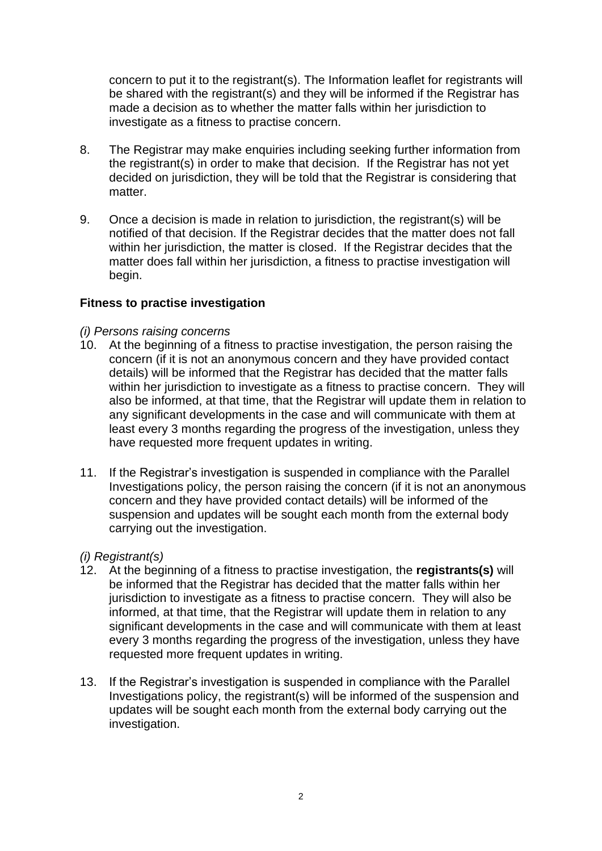concern to put it to the registrant(s). The Information leaflet for registrants will be shared with the registrant(s) and they will be informed if the Registrar has made a decision as to whether the matter falls within her jurisdiction to investigate as a fitness to practise concern.

- 8. The Registrar may make enquiries including seeking further information from the registrant(s) in order to make that decision. If the Registrar has not yet decided on jurisdiction, they will be told that the Registrar is considering that matter.
- 9. Once a decision is made in relation to jurisdiction, the registrant(s) will be notified of that decision. If the Registrar decides that the matter does not fall within her jurisdiction, the matter is closed. If the Registrar decides that the matter does fall within her jurisdiction, a fitness to practise investigation will begin.

# **Fitness to practise investigation**

#### *(i) Persons raising concerns*

- 10. At the beginning of a fitness to practise investigation, the person raising the concern (if it is not an anonymous concern and they have provided contact details) will be informed that the Registrar has decided that the matter falls within her jurisdiction to investigate as a fitness to practise concern. They will also be informed, at that time, that the Registrar will update them in relation to any significant developments in the case and will communicate with them at least every 3 months regarding the progress of the investigation, unless they have requested more frequent updates in writing.
- 11. If the Registrar's investigation is suspended in compliance with the Parallel Investigations policy, the person raising the concern (if it is not an anonymous concern and they have provided contact details) will be informed of the suspension and updates will be sought each month from the external body carrying out the investigation.

#### *(i) Registrant(s)*

- 12. At the beginning of a fitness to practise investigation, the **registrants(s)** will be informed that the Registrar has decided that the matter falls within her jurisdiction to investigate as a fitness to practise concern. They will also be informed, at that time, that the Registrar will update them in relation to any significant developments in the case and will communicate with them at least every 3 months regarding the progress of the investigation, unless they have requested more frequent updates in writing.
- 13. If the Registrar's investigation is suspended in compliance with the Parallel Investigations policy, the registrant(s) will be informed of the suspension and updates will be sought each month from the external body carrying out the investigation.